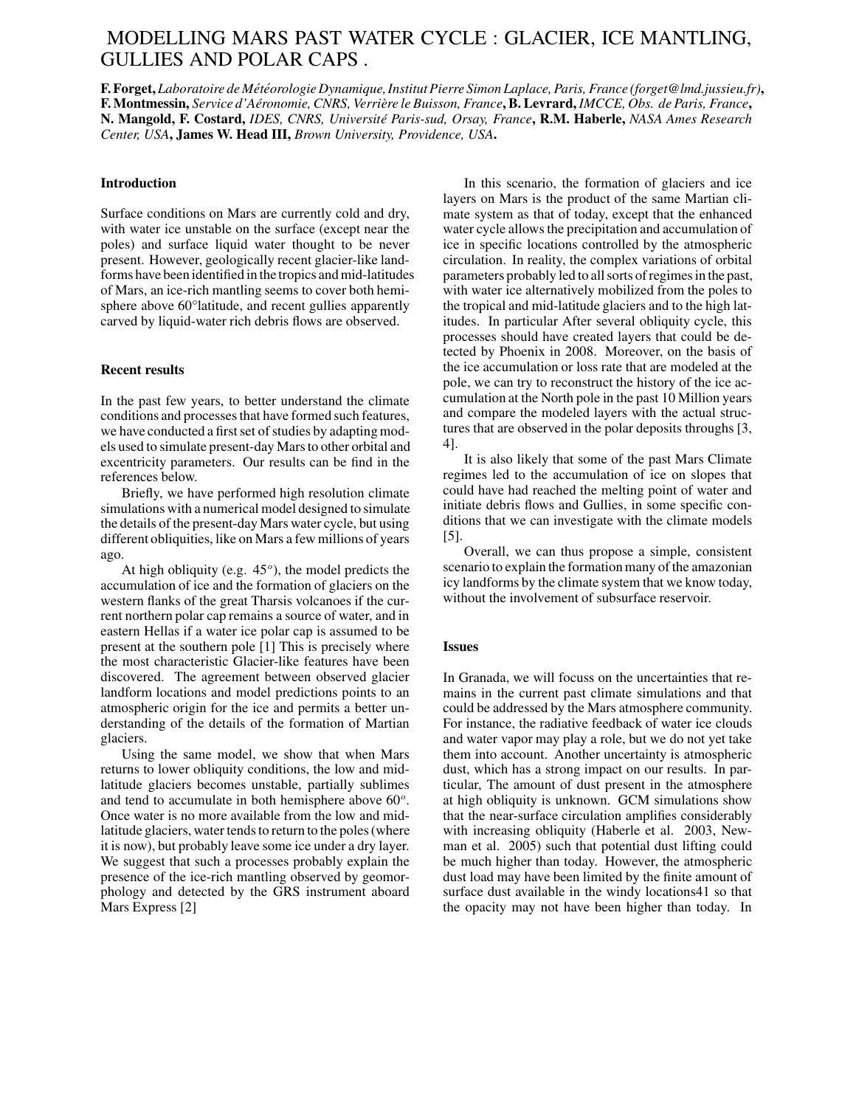# MODELLING MARS PAST WATER CYCLE : GLACIER, ICE MANTLING, GULLIES AND POLAR CAPS .

**F.Forget,** *Laboratoire de Met´ eor ´ ologie Dynamique,InstitutPierre Simon Laplace,Paris, France (forget@lmd.jussieu.fr)***,** F. Montmessin, Service d'Aéronomie, CNRS, Verrière le Buisson, France, B. Levrard, IMCCE, Obs. de Paris, France, **N. Mangold, F. Costard,** *IDES, CNRS, Universite´ Paris-sud, Orsay, France***, R.M. Haberle,** *NASA Ames Research Center, USA***, James W. Head III,** *Brown University, Providence, USA***.**

### **Introduction**

Surface conditions on Mars are currently cold and dry, with water ice unstable on the surface (except near the poles) and surface liquid water thought to be never present. However, geologically recent glacier-like landforms have been identified in the tropics and mid-latitudes of Mars, an ice-rich mantling seems to cover both hemisphere above 60°latitude, and recent gullies apparently carved by liquid-water rich debris flows are observed.

#### **Recent results**

In the past few years, to better understand the climate conditions and processes that have formed such features, we have conducted a first set of studies by adapting models used to simulate present-day Marsto other orbital and excentricity parameters. Our results can be find in the references below.

Briefly, we have performed high resolution climate simulations with a numerical model designed to simulate the details of the present-dayMars water cycle, but using different obliquities, like on Mars a few millions of years ago.

At high obliquity (e.g.  $45^{\circ}$ ), the model predicts the accumulation of ice and the formation of glaciers on the western flanks of the great Tharsis volcanoes if the current northern polar cap remains a source of water, and in eastern Hellas if a water ice polar cap is assumed to be present at the southern pole [1] This is precisely where the most characteristic Glacier-like features have been discovered. The agreement between observed glacier landform locations and model predictions points to an atmospheric origin for the ice and permits a better understanding of the details of the formation of Martian glaciers.

Using the same model, we show that when Mars returns to lower obliquity conditions, the low and midlatitude glaciers becomes unstable, partially sublimes and tend to accumulate in both hemisphere above  $60^\circ$ . Once water is no more available from the low and midlatitude glaciers, water tends to return to the poles (where it is now), but probably leave some ice under a dry layer. We suggest that such a processes probably explain the presence of the ice-rich mantling observed by geomorphology and detected by the GRS instrument aboard Mars Express [2]

In this scenario, the formation of glaciers and ice layers on Mars is the product of the same Martian climate system as that of today, except that the enhanced water cycle allows the precipitation and accumulation of ice in specific locations controlled by the atmospheric circulation. In reality, the complex variations of orbital parameters probably led to all sorts of regimes in the past, with water ice alternatively mobilized from the poles to the tropical and mid-latitude glaciers and to the high latitudes. In particular After several obliquity cycle, this processes should have created layers that could be detected by Phoenix in 2008. Moreover, on the basis of the ice accumulation or loss rate that are modeled at the pole, we can try to reconstruct the history of the ice accumulation at the North pole in the past 10 Million years and compare the modeled layers with the actual structures that are observed in the polar deposits throughs [3, 4].

It is also likely that some of the past Mars Climate regimes led to the accumulation of ice on slopes that could have had reached the melting point of water and initiate debris flows and Gullies, in some specific conditions that we can investigate with the climate models [5].

Overall, we can thus propose a simple, consistent scenario to explain the formation many of the amazonian icy landforms by the climate system that we know today, without the involvement of subsurface reservoir.

#### **Issues**

In Granada, we will focuss on the uncertainties that remains in the current past climate simulations and that could be addressed by the Mars atmosphere community. For instance, the radiative feedback of water ice clouds and water vapor may play a role, but we do not yet take them into account. Another uncertainty is atmospheric dust, which has a strong impact on our results. In particular, The amount of dust present in the atmosphere at high obliquity is unknown. GCM simulations show that the near-surface circulation amplifies considerably with increasing obliquity (Haberle et al. 2003, Newman et al. 2005) such that potential dust lifting could be much higher than today. However, the atmospheric dust load may have been limited by the finite amount of surface dust available in the windy locations41 so that the opacity may not have been higher than today. In